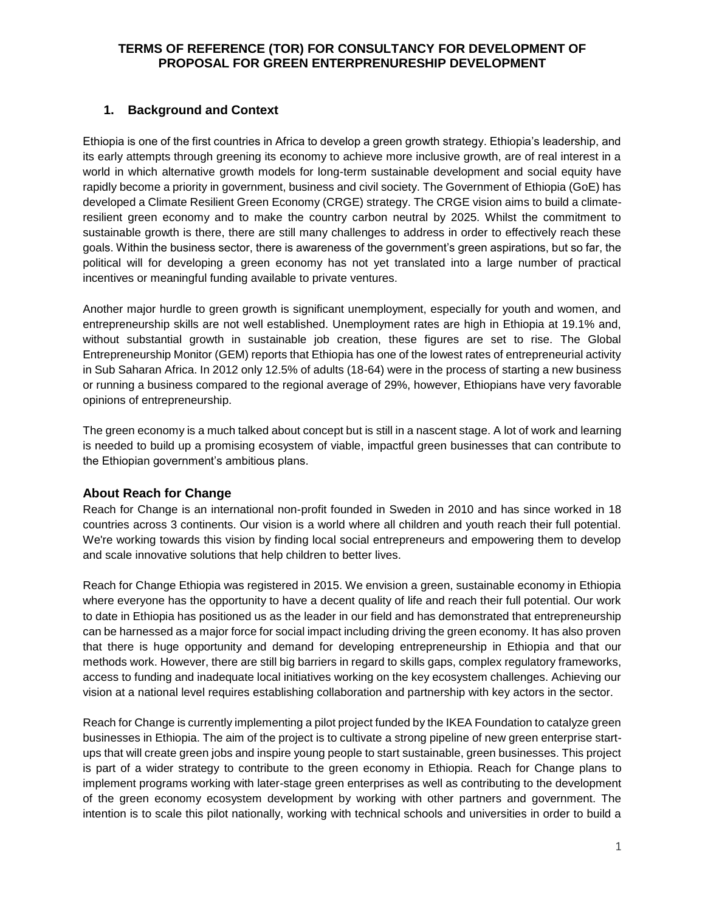### **1. Background and Context**

Ethiopia is one of the first countries in Africa to develop a green growth strategy. Ethiopia's leadership, and its early attempts through greening its economy to achieve more inclusive growth, are of real interest in a world in which alternative growth models for long-term sustainable development and social equity have rapidly become a priority in government, business and civil society. The Government of Ethiopia (GoE) has developed a Climate Resilient Green Economy (CRGE) strategy. The CRGE vision aims to build a climateresilient green economy and to make the country carbon neutral by 2025. Whilst the commitment to sustainable growth is there, there are still many challenges to address in order to effectively reach these goals. Within the business sector, there is awareness of the government's green aspirations, but so far, the political will for developing a green economy has not yet translated into a large number of practical incentives or meaningful funding available to private ventures.

Another major hurdle to green growth is significant unemployment, especially for youth and women, and entrepreneurship skills are not well established. Unemployment rates are high in Ethiopia at 19.1% and, without substantial growth in sustainable job creation, these figures are set to rise. The Global Entrepreneurship Monitor (GEM) reports that Ethiopia has one of the lowest rates of entrepreneurial activity in Sub Saharan Africa. In 2012 only 12.5% of adults (18-64) were in the process of starting a new business or running a business compared to the regional average of 29%, however, Ethiopians have very favorable opinions of entrepreneurship.

The green economy is a much talked about concept but is still in a nascent stage. A lot of work and learning is needed to build up a promising ecosystem of viable, impactful green businesses that can contribute to the Ethiopian government's ambitious plans.

### **About Reach for Change**

Reach for Change is an international non-profit founded in Sweden in 2010 and has since worked in 18 countries across 3 continents. Our vision is a world where all children and youth reach their full potential. We're working towards this vision by finding local social entrepreneurs and empowering them to develop and scale innovative solutions that help children to better lives.

Reach for Change Ethiopia was registered in 2015. We envision a green, sustainable economy in Ethiopia where everyone has the opportunity to have a decent quality of life and reach their full potential. Our work to date in Ethiopia has positioned us as the leader in our field and has demonstrated that entrepreneurship can be harnessed as a major force for social impact including driving the green economy. It has also proven that there is huge opportunity and demand for developing entrepreneurship in Ethiopia and that our methods work. However, there are still big barriers in regard to skills gaps, complex regulatory frameworks, access to funding and inadequate local initiatives working on the key ecosystem challenges. Achieving our vision at a national level requires establishing collaboration and partnership with key actors in the sector.

Reach for Change is currently implementing a pilot project funded by the IKEA Foundation to catalyze green businesses in Ethiopia. The aim of the project is to cultivate a strong pipeline of new green enterprise startups that will create green jobs and inspire young people to start sustainable, green businesses. This project is part of a wider strategy to contribute to the green economy in Ethiopia. Reach for Change plans to implement programs working with later-stage green enterprises as well as contributing to the development of the green economy ecosystem development by working with other partners and government. The intention is to scale this pilot nationally, working with technical schools and universities in order to build a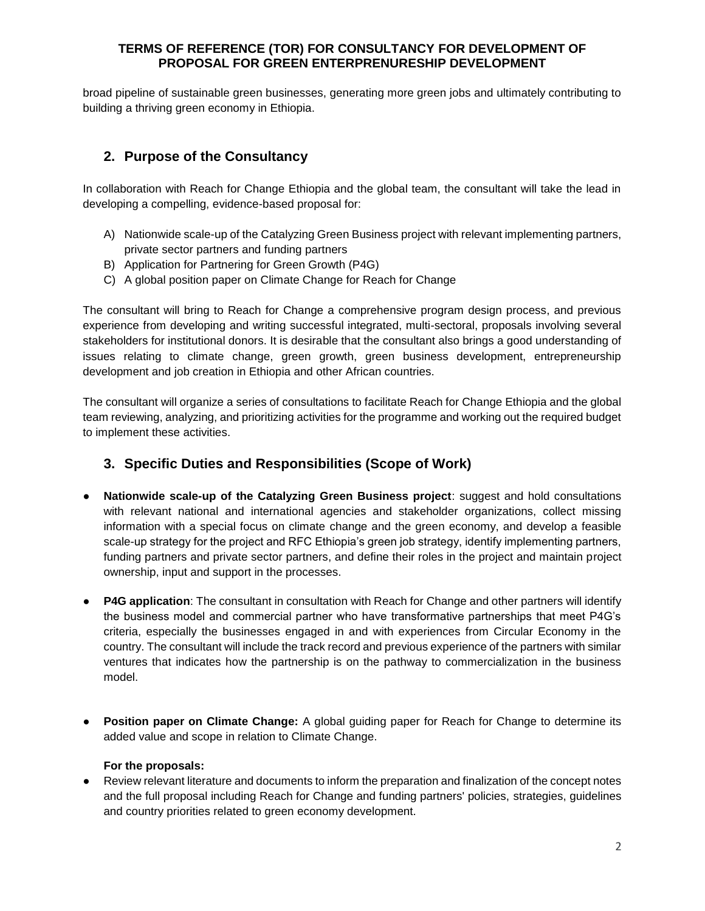broad pipeline of sustainable green businesses, generating more green jobs and ultimately contributing to building a thriving green economy in Ethiopia.

# **2. Purpose of the Consultancy**

In collaboration with Reach for Change Ethiopia and the global team, the consultant will take the lead in developing a compelling, evidence-based proposal for:

- A) Nationwide scale-up of the Catalyzing Green Business project with relevant implementing partners, private sector partners and funding partners
- B) Application for Partnering for Green Growth (P4G)
- C) A global position paper on Climate Change for Reach for Change

The consultant will bring to Reach for Change a comprehensive program design process, and previous experience from developing and writing successful integrated, multi-sectoral, proposals involving several stakeholders for institutional donors. It is desirable that the consultant also brings a good understanding of issues relating to climate change, green growth, green business development, entrepreneurship development and job creation in Ethiopia and other African countries.

The consultant will organize a series of consultations to facilitate Reach for Change Ethiopia and the global team reviewing, analyzing, and prioritizing activities for the programme and working out the required budget to implement these activities.

# **3. Specific Duties and Responsibilities (Scope of Work)**

- **Nationwide scale-up of the Catalyzing Green Business project:** suggest and hold consultations with relevant national and international agencies and stakeholder organizations, collect missing information with a special focus on climate change and the green economy, and develop a feasible scale-up strategy for the project and RFC Ethiopia's green job strategy, identify implementing partners, funding partners and private sector partners, and define their roles in the project and maintain project ownership, input and support in the processes.
- **P4G application**: The consultant in consultation with Reach for Change and other partners will identify the business model and commercial partner who have transformative partnerships that meet P4G's criteria, especially the businesses engaged in and with experiences from Circular Economy in the country. The consultant will include the track record and previous experience of the partners with similar ventures that indicates how the partnership is on the pathway to commercialization in the business model.
- **Position paper on Climate Change:** A global guiding paper for Reach for Change to determine its added value and scope in relation to Climate Change.

#### **For the proposals:**

● Review relevant literature and documents to inform the preparation and finalization of the concept notes and the full proposal including Reach for Change and funding partners' policies, strategies, guidelines and country priorities related to green economy development.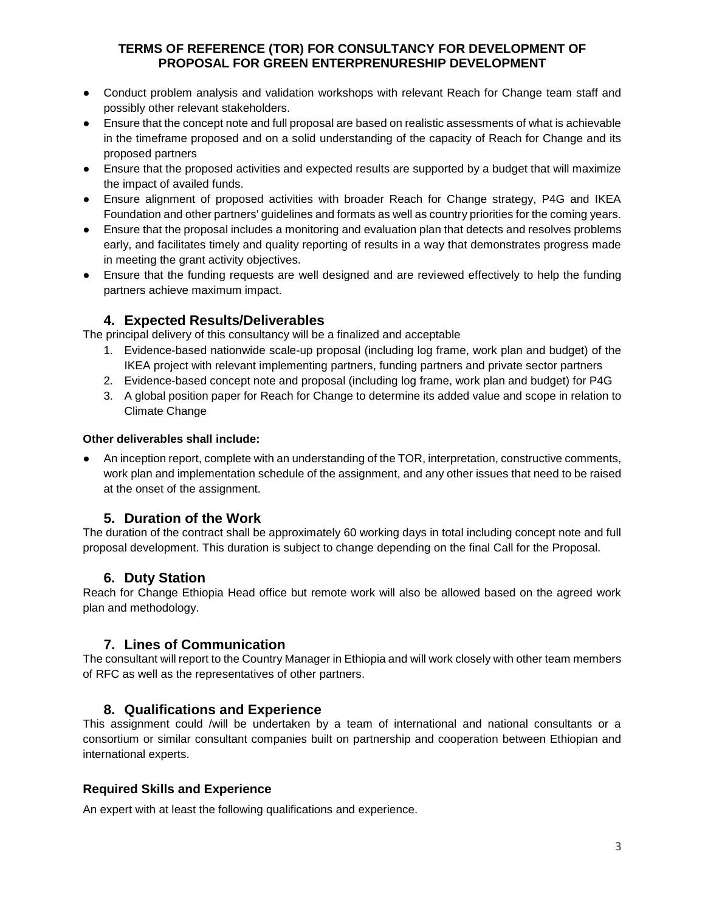- Conduct problem analysis and validation workshops with relevant Reach for Change team staff and possibly other relevant stakeholders.
- Ensure that the concept note and full proposal are based on realistic assessments of what is achievable in the timeframe proposed and on a solid understanding of the capacity of Reach for Change and its proposed partners
- Ensure that the proposed activities and expected results are supported by a budget that will maximize the impact of availed funds.
- Ensure alignment of proposed activities with broader Reach for Change strategy, P4G and IKEA Foundation and other partners' guidelines and formats as well as country priorities for the coming years.
- Ensure that the proposal includes a monitoring and evaluation plan that detects and resolves problems early, and facilitates timely and quality reporting of results in a way that demonstrates progress made in meeting the grant activity objectives.
- Ensure that the funding requests are well designed and are reviewed effectively to help the funding partners achieve maximum impact.

## **4. Expected Results/Deliverables**

The principal delivery of this consultancy will be a finalized and acceptable

- 1. Evidence-based nationwide scale-up proposal (including log frame, work plan and budget) of the IKEA project with relevant implementing partners, funding partners and private sector partners
- 2. Evidence-based concept note and proposal (including log frame, work plan and budget) for P4G
- 3. A global position paper for Reach for Change to determine its added value and scope in relation to Climate Change

### **Other deliverables shall include:**

An inception report, complete with an understanding of the TOR, interpretation, constructive comments, work plan and implementation schedule of the assignment, and any other issues that need to be raised at the onset of the assignment.

## **5. Duration of the Work**

The duration of the contract shall be approximately 60 working days in total including concept note and full proposal development. This duration is subject to change depending on the final Call for the Proposal.

## **6. Duty Station**

Reach for Change Ethiopia Head office but remote work will also be allowed based on the agreed work plan and methodology.

## **7. Lines of Communication**

The consultant will report to the Country Manager in Ethiopia and will work closely with other team members of RFC as well as the representatives of other partners.

## **8. Qualifications and Experience**

This assignment could /will be undertaken by a team of international and national consultants or a consortium or similar consultant companies built on partnership and cooperation between Ethiopian and international experts.

### **Required Skills and Experience**

An expert with at least the following qualifications and experience.